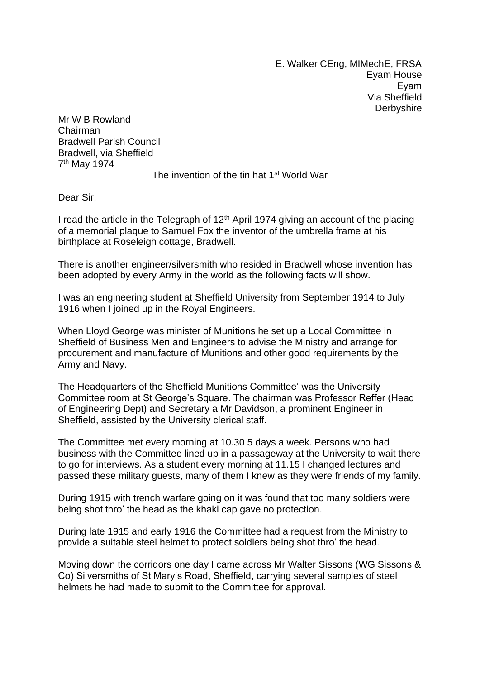E. Walker CEng, MIMechE, FRSA Eyam House Eyam Via Sheffield **Derbyshire** 

Mr W B Rowland Chairman Bradwell Parish Council Bradwell, via Sheffield 7<sup>th</sup> May 1974

## The invention of the tin hat 1<sup>st</sup> World War

Dear Sir,

I read the article in the Telegraph of  $12<sup>th</sup>$  April 1974 giving an account of the placing of a memorial plaque to Samuel Fox the inventor of the umbrella frame at his birthplace at Roseleigh cottage, Bradwell.

There is another engineer/silversmith who resided in Bradwell whose invention has been adopted by every Army in the world as the following facts will show.

I was an engineering student at Sheffield University from September 1914 to July 1916 when I joined up in the Royal Engineers.

When Lloyd George was minister of Munitions he set up a Local Committee in Sheffield of Business Men and Engineers to advise the Ministry and arrange for procurement and manufacture of Munitions and other good requirements by the Army and Navy.

The Headquarters of the Sheffield Munitions Committee' was the University Committee room at St George's Square. The chairman was Professor Reffer (Head of Engineering Dept) and Secretary a Mr Davidson, a prominent Engineer in Sheffield, assisted by the University clerical staff.

The Committee met every morning at 10.30 5 days a week. Persons who had business with the Committee lined up in a passageway at the University to wait there to go for interviews. As a student every morning at 11.15 I changed lectures and passed these military guests, many of them I knew as they were friends of my family.

During 1915 with trench warfare going on it was found that too many soldiers were being shot thro' the head as the khaki cap gave no protection.

During late 1915 and early 1916 the Committee had a request from the Ministry to provide a suitable steel helmet to protect soldiers being shot thro' the head.

Moving down the corridors one day I came across Mr Walter Sissons (WG Sissons & Co) Silversmiths of St Mary's Road, Sheffield, carrying several samples of steel helmets he had made to submit to the Committee for approval.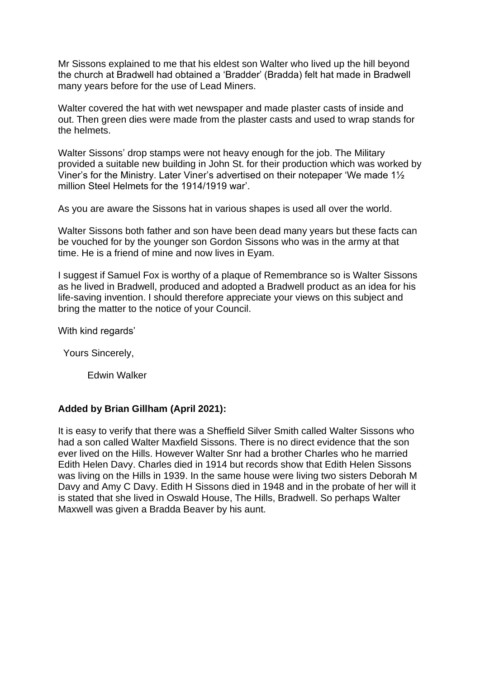Mr Sissons explained to me that his eldest son Walter who lived up the hill beyond the church at Bradwell had obtained a 'Bradder' (Bradda) felt hat made in Bradwell many years before for the use of Lead Miners.

Walter covered the hat with wet newspaper and made plaster casts of inside and out. Then green dies were made from the plaster casts and used to wrap stands for the helmets.

Walter Sissons' drop stamps were not heavy enough for the job. The Military provided a suitable new building in John St. for their production which was worked by Viner's for the Ministry. Later Viner's advertised on their notepaper 'We made 1½ million Steel Helmets for the 1914/1919 war'.

As you are aware the Sissons hat in various shapes is used all over the world.

Walter Sissons both father and son have been dead many years but these facts can be vouched for by the younger son Gordon Sissons who was in the army at that time. He is a friend of mine and now lives in Eyam.

I suggest if Samuel Fox is worthy of a plaque of Remembrance so is Walter Sissons as he lived in Bradwell, produced and adopted a Bradwell product as an idea for his life-saving invention. I should therefore appreciate your views on this subject and bring the matter to the notice of your Council.

With kind regards'

Yours Sincerely,

Edwin Walker

## **Added by Brian Gillham (April 2021):**

It is easy to verify that there was a Sheffield Silver Smith called Walter Sissons who had a son called Walter Maxfield Sissons. There is no direct evidence that the son ever lived on the Hills. However Walter Snr had a brother Charles who he married Edith Helen Davy. Charles died in 1914 but records show that Edith Helen Sissons was living on the Hills in 1939. In the same house were living two sisters Deborah M Davy and Amy C Davy. Edith H Sissons died in 1948 and in the probate of her will it is stated that she lived in Oswald House, The Hills, Bradwell. So perhaps Walter Maxwell was given a Bradda Beaver by his aunt.